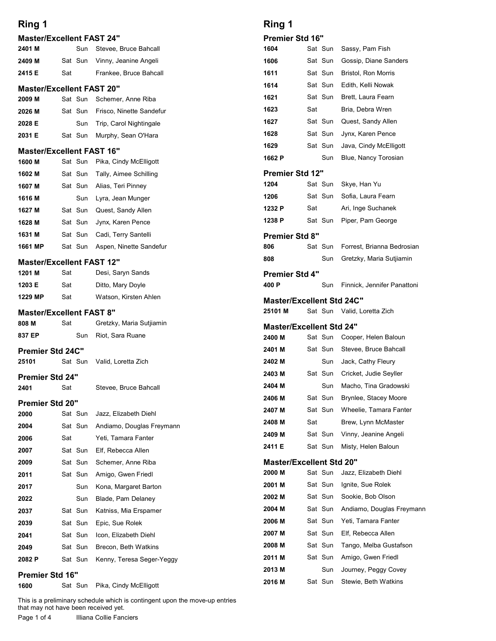| <b>Master/Excellent FAST 24"</b><br>2401 M |     |                |                                                |                                |                    |
|--------------------------------------------|-----|----------------|------------------------------------------------|--------------------------------|--------------------|
|                                            |     |                |                                                | <b>Premier Std 16"</b>         |                    |
| 2409 M                                     |     | Sun<br>Sat Sun | Stevee, Bruce Bahcall<br>Vinny, Jeanine Angeli | 1604<br>1606                   | Sat Sun<br>Sat Sun |
| 2415 E                                     | Sat |                | Frankee, Bruce Bahcall                         | 1611                           | Sat Sun            |
| <b>Master/Excellent FAST 20"</b>           |     |                |                                                | 1614                           | Sat Sun            |
| 2009 M                                     |     | Sat Sun        | Schemer, Anne Riba                             | 1621                           | Sat Sun            |
| 2026 M                                     |     | Sat Sun        | Frisco, Ninette Sandefur                       | 1623                           | Sat                |
| 2028 E                                     |     | Sun            | Trip, Carol Nightingale                        | 1627                           | Sat Sun            |
| 2031 E                                     |     | Sat Sun        | Murphy, Sean O'Hara                            | 1628                           | Sat Sun            |
| <b>Master/Excellent FAST 16"</b>           |     |                |                                                | 1629                           | Sat Sun            |
| 1600 M                                     |     | Sat Sun        | Pika, Cindy McElligott                         | 1662 P                         | Sun                |
| 1602 M                                     |     | Sat Sun        | Tally, Aimee Schilling                         | <b>Premier Std 12"</b><br>1204 | Sat Sun            |
| 1607 M<br>1616 M                           |     | Sat Sun<br>Sun | Alias, Teri Pinney<br>Lyra, Jean Munger        | 1206                           | Sat Sun            |
| 1627 M                                     |     | Sat Sun        | Quest, Sandy Allen                             | 1232 P                         | Sat                |
| 1628 M                                     |     | Sat Sun        | Jynx, Karen Pence                              | 1238 P                         | Sat Sun            |
| 1631 M                                     |     | Sat Sun        | Cadi, Terry Santelli                           | <b>Premier Std 8"</b>          |                    |
| 1661 MP                                    |     | Sat Sun        | Aspen, Ninette Sandefur                        | 806                            | Sat Sun            |
| <b>Master/Excellent FAST 12"</b>           |     |                |                                                | 808                            | Sun                |
| 1201 M                                     | Sat |                | Desi, Saryn Sands                              | <b>Premier Std 4"</b>          |                    |
| 1203 E                                     | Sat |                | Ditto, Mary Doyle                              | 400 P                          | Sun                |
| 1229 MP                                    | Sat |                | Watson, Kirsten Ahlen                          | <b>Master/Excellent Std</b>    |                    |
| <b>Master/Excellent FAST 8"</b>            |     |                |                                                | 25101 M                        | Sat Sun            |
| 808 M                                      | Sat |                | Gretzky, Maria Sutjiamin                       | <b>Master/Excellent Std</b>    |                    |
| 837 EP                                     |     | Sun            | Riot, Sara Ruane                               | 2400 M                         | Sat Sun            |
| <b>Premier Std 24C"</b><br>25101           |     | Sat Sun        | Valid, Loretta Zich                            | 2401 M<br>2402 M               | Sat Sun<br>Sun     |
|                                            |     |                |                                                | 2403 M                         | Sat Sun            |
| <b>Premier Std 24"</b><br>2401             | Sat |                | Stevee, Bruce Bahcall                          | 2404 M                         | Sun                |
|                                            |     |                |                                                | 2406 M                         | Sat Sun            |
| <b>Premier Std 20"</b><br>2000             |     | Sat Sun        | Jazz, Elizabeth Diehl                          | 2407 M                         | Sat Sun            |
| 2004                                       |     | Sat Sun        | Andiamo, Douglas Freymann                      | 2408 M                         | Sat                |
| 2006                                       | Sat |                | Yeti, Tamara Fanter                            | 2409 M                         | Sat Sun            |
| 2007                                       |     | Sat Sun        | Elf, Rebecca Allen                             | 2411 E                         | Sat Sun            |
| 2009                                       |     | Sat Sun        | Schemer, Anne Riba                             | <b>Master/Excellent Std</b>    |                    |
| 2011                                       |     | Sat Sun        | Amigo, Gwen Friedl                             | 2000 M<br>2001 M               | Sat Sun<br>Sat Sun |
| 2017                                       |     | Sun            | Kona, Margaret Barton<br>Blade, Pam Delaney    | 2002 M                         | Sat Sun            |
| 2022<br>2037                               |     | Sun<br>Sat Sun | Katniss, Mia Erspamer                          | 2004 M                         | Sat Sun            |
| 2039                                       |     | Sat Sun        | Epic, Sue Rolek                                | 2006 M                         | Sat Sun            |
| 2041                                       |     | Sat Sun        | Icon, Elizabeth Diehl                          | 2007 M                         | Sat Sun            |
|                                            |     | Sat Sun        | Brecon, Beth Watkins                           | 2008 M                         | Sat Sun            |
| 2049                                       |     |                | Kenny, Teresa Seger-Yeggy                      | 2011 M                         | Sat Sun            |
|                                            |     | Sat Sun        |                                                |                                |                    |
| 2082 P<br><b>Premier Std 16"</b>           |     |                |                                                | 2013 M<br>2016 M               | Sun<br>Sat Sun     |

# Ring 1

# **Premier Std 16"**<br>1604 Sat S

| <b>Ring 1</b><br>Premier Std 16"<br>Sat Sun<br>Sassy, Pam Fish<br>1604<br>Gossip, Diane Sanders<br>Sat Sun<br>1606<br>Sat Sun<br><b>Bristol, Ron Morris</b><br>1611<br>Sat Sun<br>Edith, Kelli Nowak<br>1614<br>Sat Sun<br>Brett, Laura Fearn<br>1621<br>Sat<br>Bria, Debra Wren<br>1623<br>Sat Sun<br>Quest, Sandy Allen<br>1627<br>Sat Sun<br>Jynx, Karen Pence<br>1628<br>Sat Sun<br>1629<br>Java, Cindy McElligott<br>1662 P<br>Sun<br>Blue, Nancy Torosian<br>Premier Std 12"<br>Sat Sun<br>1204<br>Skye, Han Yu<br>Sat Sun<br>1206<br>Sofia, Laura Fearn<br>1232 P<br>Sat<br>Ari, Inge Suchanek<br>1238 P<br>Sat Sun<br>Piper, Pam George<br>Premier Std 8"<br>Sat Sun<br>Forrest, Brianna Bedrosian<br>806<br>Gretzky, Maria Sutjiamin<br>808<br>Sun<br>Premier Std 4"<br>400 P<br>Sun<br>Finnick, Jennifer Panattoni<br><b>Master/Excellent Std 24C"</b><br>25101 M<br>Sat Sun Valid, Loretta Zich<br>Master/Excellent Std 24"<br>2400 M<br>Sat Sun<br>Cooper, Helen Baloun<br>Sat Sun<br>Stevee, Bruce Bahcall<br>2401 M<br>2402 M<br>Sun<br>Jack, Cathy Fleury<br>2403 M<br>Sat Sun<br>Cricket, Judie Seyller<br>Macho, Tina Gradowski<br>2404 M<br>Sun<br>Sat Sun<br>Brynlee, Stacey Moore<br>2406 M<br>Sat Sun<br>Wheelie, Tamara Fanter<br>2407 M<br>Sat<br>Brew, Lynn McMaster<br>2408 M<br>Sat Sun<br>Vinny, Jeanine Angeli<br>2409 M<br>Sat Sun<br>Misty, Helen Baloun<br>2411 E<br><b>Master/Excellent Std 20"</b><br>Sat Sun<br>2000 M<br>Jazz, Elizabeth Diehl<br>2001 M<br>Sat Sun<br>Ignite, Sue Rolek<br>2002 M<br>Sat Sun<br>Sookie, Bob Olson<br>2004 M<br>Sat Sun<br>Andiamo, Douglas Freymann<br>2006 M<br>Sat Sun<br>Yeti, Tamara Fanter<br>Elf, Rebecca Allen<br>2007 M<br>Sat Sun<br>Sat Sun<br>Tango, Melba Gustafson<br>2008 M<br>Sat Sun<br>Amigo, Gwen Friedl<br>2011 M<br>Sun<br>Journey, Peggy Covey<br>2013 M |  |  |  |
|---------------------------------------------------------------------------------------------------------------------------------------------------------------------------------------------------------------------------------------------------------------------------------------------------------------------------------------------------------------------------------------------------------------------------------------------------------------------------------------------------------------------------------------------------------------------------------------------------------------------------------------------------------------------------------------------------------------------------------------------------------------------------------------------------------------------------------------------------------------------------------------------------------------------------------------------------------------------------------------------------------------------------------------------------------------------------------------------------------------------------------------------------------------------------------------------------------------------------------------------------------------------------------------------------------------------------------------------------------------------------------------------------------------------------------------------------------------------------------------------------------------------------------------------------------------------------------------------------------------------------------------------------------------------------------------------------------------------------------------------------------------------------------------------------------------------------------------------------|--|--|--|
|                                                                                                                                                                                                                                                                                                                                                                                                                                                                                                                                                                                                                                                                                                                                                                                                                                                                                                                                                                                                                                                                                                                                                                                                                                                                                                                                                                                                                                                                                                                                                                                                                                                                                                                                                                                                                                                   |  |  |  |
|                                                                                                                                                                                                                                                                                                                                                                                                                                                                                                                                                                                                                                                                                                                                                                                                                                                                                                                                                                                                                                                                                                                                                                                                                                                                                                                                                                                                                                                                                                                                                                                                                                                                                                                                                                                                                                                   |  |  |  |
|                                                                                                                                                                                                                                                                                                                                                                                                                                                                                                                                                                                                                                                                                                                                                                                                                                                                                                                                                                                                                                                                                                                                                                                                                                                                                                                                                                                                                                                                                                                                                                                                                                                                                                                                                                                                                                                   |  |  |  |
|                                                                                                                                                                                                                                                                                                                                                                                                                                                                                                                                                                                                                                                                                                                                                                                                                                                                                                                                                                                                                                                                                                                                                                                                                                                                                                                                                                                                                                                                                                                                                                                                                                                                                                                                                                                                                                                   |  |  |  |
|                                                                                                                                                                                                                                                                                                                                                                                                                                                                                                                                                                                                                                                                                                                                                                                                                                                                                                                                                                                                                                                                                                                                                                                                                                                                                                                                                                                                                                                                                                                                                                                                                                                                                                                                                                                                                                                   |  |  |  |
|                                                                                                                                                                                                                                                                                                                                                                                                                                                                                                                                                                                                                                                                                                                                                                                                                                                                                                                                                                                                                                                                                                                                                                                                                                                                                                                                                                                                                                                                                                                                                                                                                                                                                                                                                                                                                                                   |  |  |  |
|                                                                                                                                                                                                                                                                                                                                                                                                                                                                                                                                                                                                                                                                                                                                                                                                                                                                                                                                                                                                                                                                                                                                                                                                                                                                                                                                                                                                                                                                                                                                                                                                                                                                                                                                                                                                                                                   |  |  |  |
|                                                                                                                                                                                                                                                                                                                                                                                                                                                                                                                                                                                                                                                                                                                                                                                                                                                                                                                                                                                                                                                                                                                                                                                                                                                                                                                                                                                                                                                                                                                                                                                                                                                                                                                                                                                                                                                   |  |  |  |
|                                                                                                                                                                                                                                                                                                                                                                                                                                                                                                                                                                                                                                                                                                                                                                                                                                                                                                                                                                                                                                                                                                                                                                                                                                                                                                                                                                                                                                                                                                                                                                                                                                                                                                                                                                                                                                                   |  |  |  |
|                                                                                                                                                                                                                                                                                                                                                                                                                                                                                                                                                                                                                                                                                                                                                                                                                                                                                                                                                                                                                                                                                                                                                                                                                                                                                                                                                                                                                                                                                                                                                                                                                                                                                                                                                                                                                                                   |  |  |  |
|                                                                                                                                                                                                                                                                                                                                                                                                                                                                                                                                                                                                                                                                                                                                                                                                                                                                                                                                                                                                                                                                                                                                                                                                                                                                                                                                                                                                                                                                                                                                                                                                                                                                                                                                                                                                                                                   |  |  |  |
|                                                                                                                                                                                                                                                                                                                                                                                                                                                                                                                                                                                                                                                                                                                                                                                                                                                                                                                                                                                                                                                                                                                                                                                                                                                                                                                                                                                                                                                                                                                                                                                                                                                                                                                                                                                                                                                   |  |  |  |
|                                                                                                                                                                                                                                                                                                                                                                                                                                                                                                                                                                                                                                                                                                                                                                                                                                                                                                                                                                                                                                                                                                                                                                                                                                                                                                                                                                                                                                                                                                                                                                                                                                                                                                                                                                                                                                                   |  |  |  |
|                                                                                                                                                                                                                                                                                                                                                                                                                                                                                                                                                                                                                                                                                                                                                                                                                                                                                                                                                                                                                                                                                                                                                                                                                                                                                                                                                                                                                                                                                                                                                                                                                                                                                                                                                                                                                                                   |  |  |  |
|                                                                                                                                                                                                                                                                                                                                                                                                                                                                                                                                                                                                                                                                                                                                                                                                                                                                                                                                                                                                                                                                                                                                                                                                                                                                                                                                                                                                                                                                                                                                                                                                                                                                                                                                                                                                                                                   |  |  |  |
|                                                                                                                                                                                                                                                                                                                                                                                                                                                                                                                                                                                                                                                                                                                                                                                                                                                                                                                                                                                                                                                                                                                                                                                                                                                                                                                                                                                                                                                                                                                                                                                                                                                                                                                                                                                                                                                   |  |  |  |
|                                                                                                                                                                                                                                                                                                                                                                                                                                                                                                                                                                                                                                                                                                                                                                                                                                                                                                                                                                                                                                                                                                                                                                                                                                                                                                                                                                                                                                                                                                                                                                                                                                                                                                                                                                                                                                                   |  |  |  |
|                                                                                                                                                                                                                                                                                                                                                                                                                                                                                                                                                                                                                                                                                                                                                                                                                                                                                                                                                                                                                                                                                                                                                                                                                                                                                                                                                                                                                                                                                                                                                                                                                                                                                                                                                                                                                                                   |  |  |  |
|                                                                                                                                                                                                                                                                                                                                                                                                                                                                                                                                                                                                                                                                                                                                                                                                                                                                                                                                                                                                                                                                                                                                                                                                                                                                                                                                                                                                                                                                                                                                                                                                                                                                                                                                                                                                                                                   |  |  |  |
|                                                                                                                                                                                                                                                                                                                                                                                                                                                                                                                                                                                                                                                                                                                                                                                                                                                                                                                                                                                                                                                                                                                                                                                                                                                                                                                                                                                                                                                                                                                                                                                                                                                                                                                                                                                                                                                   |  |  |  |
|                                                                                                                                                                                                                                                                                                                                                                                                                                                                                                                                                                                                                                                                                                                                                                                                                                                                                                                                                                                                                                                                                                                                                                                                                                                                                                                                                                                                                                                                                                                                                                                                                                                                                                                                                                                                                                                   |  |  |  |
|                                                                                                                                                                                                                                                                                                                                                                                                                                                                                                                                                                                                                                                                                                                                                                                                                                                                                                                                                                                                                                                                                                                                                                                                                                                                                                                                                                                                                                                                                                                                                                                                                                                                                                                                                                                                                                                   |  |  |  |
|                                                                                                                                                                                                                                                                                                                                                                                                                                                                                                                                                                                                                                                                                                                                                                                                                                                                                                                                                                                                                                                                                                                                                                                                                                                                                                                                                                                                                                                                                                                                                                                                                                                                                                                                                                                                                                                   |  |  |  |
|                                                                                                                                                                                                                                                                                                                                                                                                                                                                                                                                                                                                                                                                                                                                                                                                                                                                                                                                                                                                                                                                                                                                                                                                                                                                                                                                                                                                                                                                                                                                                                                                                                                                                                                                                                                                                                                   |  |  |  |
|                                                                                                                                                                                                                                                                                                                                                                                                                                                                                                                                                                                                                                                                                                                                                                                                                                                                                                                                                                                                                                                                                                                                                                                                                                                                                                                                                                                                                                                                                                                                                                                                                                                                                                                                                                                                                                                   |  |  |  |
|                                                                                                                                                                                                                                                                                                                                                                                                                                                                                                                                                                                                                                                                                                                                                                                                                                                                                                                                                                                                                                                                                                                                                                                                                                                                                                                                                                                                                                                                                                                                                                                                                                                                                                                                                                                                                                                   |  |  |  |
|                                                                                                                                                                                                                                                                                                                                                                                                                                                                                                                                                                                                                                                                                                                                                                                                                                                                                                                                                                                                                                                                                                                                                                                                                                                                                                                                                                                                                                                                                                                                                                                                                                                                                                                                                                                                                                                   |  |  |  |
|                                                                                                                                                                                                                                                                                                                                                                                                                                                                                                                                                                                                                                                                                                                                                                                                                                                                                                                                                                                                                                                                                                                                                                                                                                                                                                                                                                                                                                                                                                                                                                                                                                                                                                                                                                                                                                                   |  |  |  |
|                                                                                                                                                                                                                                                                                                                                                                                                                                                                                                                                                                                                                                                                                                                                                                                                                                                                                                                                                                                                                                                                                                                                                                                                                                                                                                                                                                                                                                                                                                                                                                                                                                                                                                                                                                                                                                                   |  |  |  |
|                                                                                                                                                                                                                                                                                                                                                                                                                                                                                                                                                                                                                                                                                                                                                                                                                                                                                                                                                                                                                                                                                                                                                                                                                                                                                                                                                                                                                                                                                                                                                                                                                                                                                                                                                                                                                                                   |  |  |  |
|                                                                                                                                                                                                                                                                                                                                                                                                                                                                                                                                                                                                                                                                                                                                                                                                                                                                                                                                                                                                                                                                                                                                                                                                                                                                                                                                                                                                                                                                                                                                                                                                                                                                                                                                                                                                                                                   |  |  |  |
|                                                                                                                                                                                                                                                                                                                                                                                                                                                                                                                                                                                                                                                                                                                                                                                                                                                                                                                                                                                                                                                                                                                                                                                                                                                                                                                                                                                                                                                                                                                                                                                                                                                                                                                                                                                                                                                   |  |  |  |
|                                                                                                                                                                                                                                                                                                                                                                                                                                                                                                                                                                                                                                                                                                                                                                                                                                                                                                                                                                                                                                                                                                                                                                                                                                                                                                                                                                                                                                                                                                                                                                                                                                                                                                                                                                                                                                                   |  |  |  |
|                                                                                                                                                                                                                                                                                                                                                                                                                                                                                                                                                                                                                                                                                                                                                                                                                                                                                                                                                                                                                                                                                                                                                                                                                                                                                                                                                                                                                                                                                                                                                                                                                                                                                                                                                                                                                                                   |  |  |  |
|                                                                                                                                                                                                                                                                                                                                                                                                                                                                                                                                                                                                                                                                                                                                                                                                                                                                                                                                                                                                                                                                                                                                                                                                                                                                                                                                                                                                                                                                                                                                                                                                                                                                                                                                                                                                                                                   |  |  |  |
|                                                                                                                                                                                                                                                                                                                                                                                                                                                                                                                                                                                                                                                                                                                                                                                                                                                                                                                                                                                                                                                                                                                                                                                                                                                                                                                                                                                                                                                                                                                                                                                                                                                                                                                                                                                                                                                   |  |  |  |
|                                                                                                                                                                                                                                                                                                                                                                                                                                                                                                                                                                                                                                                                                                                                                                                                                                                                                                                                                                                                                                                                                                                                                                                                                                                                                                                                                                                                                                                                                                                                                                                                                                                                                                                                                                                                                                                   |  |  |  |
|                                                                                                                                                                                                                                                                                                                                                                                                                                                                                                                                                                                                                                                                                                                                                                                                                                                                                                                                                                                                                                                                                                                                                                                                                                                                                                                                                                                                                                                                                                                                                                                                                                                                                                                                                                                                                                                   |  |  |  |
|                                                                                                                                                                                                                                                                                                                                                                                                                                                                                                                                                                                                                                                                                                                                                                                                                                                                                                                                                                                                                                                                                                                                                                                                                                                                                                                                                                                                                                                                                                                                                                                                                                                                                                                                                                                                                                                   |  |  |  |
|                                                                                                                                                                                                                                                                                                                                                                                                                                                                                                                                                                                                                                                                                                                                                                                                                                                                                                                                                                                                                                                                                                                                                                                                                                                                                                                                                                                                                                                                                                                                                                                                                                                                                                                                                                                                                                                   |  |  |  |
|                                                                                                                                                                                                                                                                                                                                                                                                                                                                                                                                                                                                                                                                                                                                                                                                                                                                                                                                                                                                                                                                                                                                                                                                                                                                                                                                                                                                                                                                                                                                                                                                                                                                                                                                                                                                                                                   |  |  |  |
| Sat Sun<br>Stewie, Beth Watkins<br>2016 M                                                                                                                                                                                                                                                                                                                                                                                                                                                                                                                                                                                                                                                                                                                                                                                                                                                                                                                                                                                                                                                                                                                                                                                                                                                                                                                                                                                                                                                                                                                                                                                                                                                                                                                                                                                                         |  |  |  |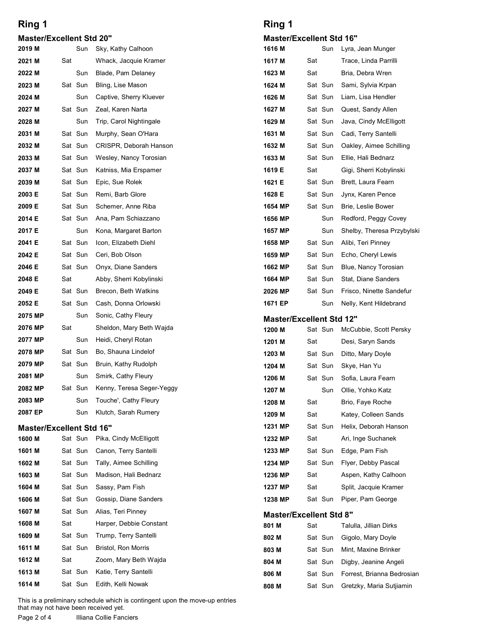| <b>Master/Excellent Std 20"</b> |  |  |
|---------------------------------|--|--|
|---------------------------------|--|--|

| <b>Master/Excellent Std 20"</b> |     |                    |                                                 |                                       |                |     |
|---------------------------------|-----|--------------------|-------------------------------------------------|---------------------------------------|----------------|-----|
| 2019 M                          |     | Sun                | Sky, Kathy Calhoon                              | <b>Master/Excellent Std</b><br>1616 M |                | Sun |
| 2021 M                          | Sat |                    | Whack, Jacquie Kramer                           | 1617 M                                | Sat            |     |
| 2022 M                          |     | Sun                | Blade, Pam Delaney                              | 1623 M                                | Sat            |     |
| 2023 M                          |     | Sat Sun            | Bling, Lise Mason                               | 1624 M                                | Sat Sun        |     |
| 2024 M                          |     | Sun                | Captive, Sherry Kluever                         | 1626 M                                | Sat Sun        |     |
| 2027 M                          |     | Sat Sun            | Zeal, Karen Narta                               | 1627 M                                | Sat Sun        |     |
| 2028 M                          |     | Sun                | Trip, Carol Nightingale                         | 1629 M                                | Sat Sun        |     |
| 2031 M                          |     | Sat Sun            | Murphy, Sean O'Hara                             | 1631 M                                | Sat Sun        |     |
| 2032 M                          |     | Sat Sun            | CRISPR, Deborah Hanson                          | 1632 M                                | Sat Sun        |     |
| 2033 M<br>2037 M                |     | Sat Sun<br>Sat Sun | Wesley, Nancy Torosian<br>Katniss, Mia Erspamer | 1633 M<br>1619 E                      | Sat Sun<br>Sat |     |
| 2039 M                          |     | Sat Sun            | Epic, Sue Rolek                                 | 1621 E                                | Sat Sun        |     |
| 2003 E                          |     | Sat Sun            | Remi, Barb Glore                                | 1628 E                                | Sat Sun        |     |
| 2009 E                          |     | Sat Sun            | Schemer, Anne Riba                              | 1654 MP                               | Sat Sun        |     |
| 2014 E                          |     | Sat Sun            | Ana, Pam Schiazzano                             | 1656 MP                               |                | Sun |
| 2017 E                          |     | Sun                | Kona, Margaret Barton                           | 1657 MP                               |                | Sun |
| 2041 E                          |     | Sat Sun            | Icon, Elizabeth Diehl                           | 1658 MP                               | Sat Sun        |     |
| 2042 E                          |     | Sat Sun            | Ceri, Bob Olson                                 | 1659 MP                               | Sat Sun        |     |
| 2046 E                          |     | Sat Sun            | Onyx, Diane Sanders                             | 1662 MP                               | Sat Sun        |     |
| 2048 E                          | Sat |                    | Abby, Sherri Kobylinski                         | 1664 MP                               | Sat Sun        |     |
| 2049 E                          |     | Sat Sun<br>Sat Sun | Brecon, Beth Watkins                            | 2026 MP                               | Sat Sun        |     |
| 2052 E<br>2075 MP               |     | Sun                | Cash, Donna Orlowski<br>Sonic, Cathy Fleury     | 1671 EP                               |                | Sun |
| 2076 MP                         | Sat |                    | Sheldon, Mary Beth Wajda                        | <b>Master/Excellent Std</b><br>1200 M | Sat Sun        |     |
| 2077 MP                         |     | Sun                | Heidi, Cheryl Rotan                             | 1201 M                                | Sat            |     |
| 2078 MP                         |     | Sat Sun            | Bo, Shauna Lindelof                             | 1203 M                                | Sat Sun        |     |
| 2079 MP                         |     | Sat Sun            | Bruin, Kathy Rudolph                            | 1204 M                                | Sat Sun        |     |
| 2081 MP                         |     | Sun                | Smirk, Cathy Fleury                             | 1206 M                                | Sat Sun        |     |
| 2082 MP                         |     | Sat Sun            | Kenny, Teresa Seger-Yeggy                       | 1207 M                                |                | Sun |
| 2083 MP                         |     | Sun                | Touche', Cathy Fleury                           | 1208 M                                | Sat            |     |
| 2087 EP                         |     | Sun                | Klutch, Sarah Rumery                            | 1209 M                                | Sat            |     |
| <b>Master/Excellent Std 16"</b> |     |                    |                                                 | 1231 MP                               | Sat Sun        |     |
| 1600 M                          |     | Sat Sun            | Pika, Cindy McElligott                          | 1232 MP                               | Sat            |     |
| 1601 M                          |     | Sat Sun            | Canon, Terry Santelli                           | 1233 MP                               | Sat Sun        |     |
| 1602 M<br>1603 M                |     | Sat Sun<br>Sat Sun | Tally, Aimee Schilling                          | 1234 MP                               | Sat Sun        |     |
| 1604 M                          |     | Sat Sun            | Madison, Hali Bednarz<br>Sassy, Pam Fish        | 1236 MP<br>1237 MP                    | Sat<br>Sat     |     |
| 1606 M                          |     | Sat Sun            | Gossip, Diane Sanders                           | 1238 MP                               | Sat Sun        |     |
| 1607 M                          |     | Sat Sun            | Alias, Teri Pinney                              |                                       |                |     |
| 1608 M                          | Sat |                    | Harper, Debbie Constant                         | <b>Master/Excellent Std</b><br>801 M  | Sat            |     |
| 1609 M                          |     | Sat Sun            | Trump, Terry Santelli                           | 802 M                                 | Sat Sun        |     |
| 1611 M                          |     | Sat Sun            | <b>Bristol, Ron Morris</b>                      | 803 M                                 | Sat Sun        |     |
| 1612 M                          | Sat |                    | Zoom, Mary Beth Wajda                           | 804 M                                 | Sat Sun        |     |
| 1613 M                          |     | Sat Sun            | Katie, Terry Santelli                           | 806 M                                 | Sat Sun        |     |
| 1614 M                          |     | Sat Sun            | Edith, Kelli Nowak                              | 808 M                                 | Sat Sun        |     |

#### Master/Excellent Std 16"

| <b>Ring 1</b><br><b>Master/Excellent Std 16"</b> |     |                    |                                                        |
|--------------------------------------------------|-----|--------------------|--------------------------------------------------------|
|                                                  |     |                    |                                                        |
|                                                  |     |                    |                                                        |
| 1616 M                                           |     | Sun                | Lyra, Jean Munger                                      |
| 1617 M                                           | Sat |                    | Trace, Linda Parrilli                                  |
| 1623 M                                           | Sat |                    | Bria, Debra Wren                                       |
| 1624 M                                           |     | Sat Sun            | Sami, Sylvia Krpan                                     |
| 1626 M                                           |     | Sat Sun            | Liam, Lisa Hendler                                     |
| 1627 M                                           |     | Sat Sun            | Quest, Sandy Allen                                     |
| 1629 M                                           |     | Sat Sun            | Java, Cindy McElligott                                 |
| 1631 M                                           |     | Sat Sun            | Cadi, Terry Santelli                                   |
| 1632 M                                           |     | Sat Sun            | Oakley, Aimee Schilling                                |
| 1633 M                                           |     | Sat Sun            | Ellie, Hali Bednarz                                    |
| 1619 E                                           | Sat |                    | Gigi, Sherri Kobylinski                                |
| 1621 E                                           |     | Sat Sun            | Brett, Laura Fearn                                     |
| 1628 E                                           |     | Sat Sun            | Jynx, Karen Pence                                      |
| 1654 MP                                          |     | Sat Sun            | Brie, Leslie Bower                                     |
| 1656 MP                                          |     | Sun                | Redford, Peggy Covey                                   |
| 1657 MP                                          |     | Sun                | Shelby, Theresa Przybylski                             |
| 1658 MP                                          |     | Sat Sun            | Alibi, Teri Pinney                                     |
| 1659 MP                                          |     | Sat Sun            | Echo, Cheryl Lewis                                     |
| 1662 MP                                          |     | Sat Sun            | Blue, Nancy Torosian                                   |
| 1664 MP                                          |     | Sat Sun            | Stat, Diane Sanders                                    |
| 2026 MP                                          |     | Sat Sun            | Frisco, Ninette Sandefur                               |
| 1671 EP                                          |     | Sun                | Nelly, Kent Hildebrand                                 |
| <b>Master/Excellent Std 12"</b>                  |     |                    |                                                        |
| 1200 M                                           |     | Sat Sun            | McCubbie, Scott Persky                                 |
| 1201 M                                           | Sat |                    | Desi, Saryn Sands                                      |
| 1203 M                                           |     | Sat Sun            | Ditto, Mary Doyle                                      |
| 1204 M                                           |     | Sat Sun            | Skye, Han Yu                                           |
| 1206 M                                           |     | Sat Sun            | Sofia, Laura Fearn                                     |
| 1207 M                                           |     | Sun                | Ollie, Yohko Katz                                      |
| 1208 M                                           | Sat |                    | Brio, Faye Roche                                       |
| 1209 M                                           | Sat |                    | Katey, Colleen Sands                                   |
| 1231 MP                                          |     | Sat Sun            | Helix, Deborah Hanson                                  |
| 1232 MP                                          | Sat |                    | Ari, Inge Suchanek                                     |
| 1233 MP                                          |     | Sat Sun            | Edge, Pam Fish                                         |
| 1234 MP                                          |     | Sat Sun            | Flyer, Debby Pascal                                    |
| 1236 MP                                          | Sat |                    | Aspen, Kathy Calhoon                                   |
| 1237 MP                                          | Sat |                    | Split, Jacquie Kramer                                  |
| 1238 MP                                          |     | Sat Sun            | Piper, Pam George                                      |
|                                                  |     |                    |                                                        |
| <b>Master/Excellent Std 8"</b>                   | Sat |                    | Talulla, Jillian Dirks                                 |
| 801 M                                            |     |                    |                                                        |
| 802 M                                            |     | Sat Sun            | Gigolo, Mary Doyle                                     |
| 803 M                                            |     | Sat Sun            | Mint, Maxine Brinker                                   |
| 804 M                                            |     | Sat Sun            | Digby, Jeanine Angeli                                  |
| 806 M                                            |     | Sat Sun<br>Sat Sun | Forrest, Brianna Bedrosian<br>Gretzky, Maria Sutjiamin |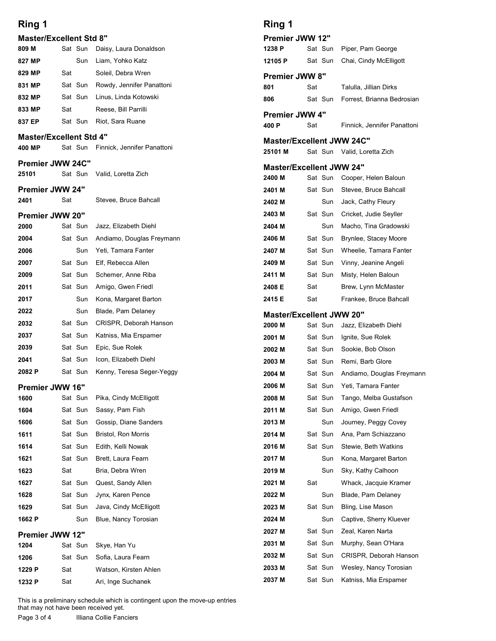|                                          |     |                    |                                          | Ring 1                                    |     |                    |                                              |
|------------------------------------------|-----|--------------------|------------------------------------------|-------------------------------------------|-----|--------------------|----------------------------------------------|
| Ring 1<br><b>Master/Excellent Std 8"</b> |     |                    |                                          | <b>Premier JWW 12"</b>                    |     |                    |                                              |
| 809 M                                    |     | Sat Sun            | Daisy, Laura Donaldson                   | 1238 P                                    |     | Sat Sun            | Piper, Pam George                            |
| 827 MP                                   |     | Sun                | Liam, Yohko Katz                         | 12105 P                                   |     | Sat Sun            | Chai, Cindy McElligott                       |
| 829 MP                                   | Sat |                    | Soleil, Debra Wren                       | Premier JWW 8"                            |     |                    |                                              |
| 831 MP                                   |     | Sat Sun            | Rowdy, Jennifer Panattoni                | 801                                       | Sat |                    | Talulla, Jillian Dirks                       |
| 832 MP                                   |     | Sat Sun            | Linus, Linda Kotowski                    | 806                                       |     | Sat Sun            | Forrest, Brianna Bedrosian                   |
| 833 MP                                   | Sat |                    | Reese, Bill Parrilli                     | Premier JWW 4"                            |     |                    |                                              |
| 837 EP                                   |     |                    | Sat Sun Riot, Sara Ruane                 | 400 P                                     | Sat |                    | Finnick, Jennifer Panattoni                  |
| <b>Master/Excellent Std 4"</b>           |     |                    |                                          | <b>Master/Excellent JWW 24C"</b>          |     |                    |                                              |
| 400 MP                                   |     | Sat Sun            | Finnick, Jennifer Panattoni              | 25101 M                                   |     |                    | Sat Sun Valid, Loretta Zich                  |
| Premier JWW 24C"                         |     |                    |                                          | <b>Master/Excellent JWW 24"</b>           |     |                    |                                              |
| 25101                                    |     | Sat Sun            | Valid, Loretta Zich                      | 2400 M                                    |     |                    | Sat Sun Cooper, Helen Baloun                 |
| <b>Premier JWW 24"</b>                   |     |                    |                                          | 2401 M                                    |     |                    | Sat Sun Stevee, Bruce Bahcall                |
| 2401                                     | Sat |                    | Stevee, Bruce Bahcall                    | 2402 M                                    |     | Sun                | Jack, Cathy Fleury                           |
| Premier JWW 20"                          |     |                    |                                          | 2403 M                                    |     | Sat Sun            | Cricket, Judie Seyller                       |
| 2000                                     |     | Sat Sun            | Jazz, Elizabeth Diehl                    | 2404 M                                    |     | Sun                | Macho, Tina Gradowski                        |
| 2004                                     |     | Sat Sun            | Andiamo, Douglas Freymann                | 2406 M                                    |     | Sat Sun            | Brynlee, Stacey Moore                        |
| 2006                                     |     | Sun                | Yeti, Tamara Fanter                      | 2407 M                                    |     | Sat Sun            | Wheelie, Tamara Fanter                       |
| 2007<br>2009                             |     | Sat Sun<br>Sat Sun | Elf, Rebecca Allen<br>Schemer, Anne Riba | 2409 M<br>2411 M                          |     | Sat Sun<br>Sat Sun | Vinny, Jeanine Angeli<br>Misty, Helen Baloun |
| 2011                                     |     | Sat Sun            | Amigo, Gwen Friedl                       | 2408 E                                    | Sat |                    | Brew, Lynn McMaster                          |
| 2017                                     |     | Sun                | Kona, Margaret Barton                    | 2415 E                                    | Sat |                    | Frankee, Bruce Bahcall                       |
| 2022                                     |     | Sun                | Blade, Pam Delaney                       |                                           |     |                    |                                              |
| 2032                                     |     | Sat Sun            | CRISPR, Deborah Hanson                   | <b>Master/Excellent JWW 20"</b><br>2000 M |     |                    | Sat Sun Jazz, Elizabeth Diehl                |
| 2037                                     |     | Sat Sun            | Katniss, Mia Erspamer                    | 2001 M                                    |     | Sat Sun            | Ignite, Sue Rolek                            |
| 2039                                     |     | Sat Sun            | Epic, Sue Rolek                          | 2002 M                                    |     | Sat Sun            | Sookie, Bob Olson                            |
| 2041                                     |     | Sat Sun            | Icon, Elizabeth Diehl                    | 2003 M                                    |     | Sat Sun            | Remi, Barb Glore                             |
| 2082 P                                   |     | Sat Sun            | Kenny, Teresa Seger-Yeggy                | 2004 M                                    |     | Sat Sun            | Andiamo, Douglas Freymann                    |
| Premier JWW 16"                          |     |                    |                                          | 2006 M                                    |     | Sat Sun            | Yeti, Tamara Fanter                          |
| 1600                                     |     | Sat Sun            | Pika, Cindy McElligott                   | 2008 M                                    |     | Sat Sun            | Tango, Melba Gustafson                       |
| 1604                                     |     | Sat Sun            | Sassy, Pam Fish                          | 2011 M                                    |     | Sat Sun            | Amigo, Gwen Friedl                           |
| 1606                                     |     | Sat Sun            | Gossip, Diane Sanders                    | 2013 M                                    |     | Sun                | Journey, Peggy Covey                         |
| 1611                                     |     | Sat Sun            | Bristol, Ron Morris                      | 2014 M                                    |     | Sat Sun            | Ana, Pam Schiazzano                          |
| 1614                                     |     | Sat Sun            | Edith, Kelli Nowak                       | 2016 M                                    |     | Sat Sun            | Stewie, Beth Watkins                         |
| 1621                                     |     | Sat Sun            | Brett, Laura Fearn                       | 2017 M                                    |     | Sun                | Kona, Margaret Barton                        |
| 1623<br>1627                             | Sat | Sat Sun            | Bria, Debra Wren<br>Quest, Sandy Allen   | 2019 M<br>2021 M                          | Sat | Sun                | Sky, Kathy Calhoon<br>Whack, Jacquie Kramer  |
| 1628                                     |     | Sat Sun            | Jynx, Karen Pence                        | 2022 M                                    |     | Sun                | Blade, Pam Delaney                           |
| 1629                                     |     | Sat Sun            | Java, Cindy McElligott                   | 2023 M                                    |     | Sat Sun            | Bling, Lise Mason                            |
| 1662 P                                   |     | Sun                | Blue, Nancy Torosian                     | 2024 M                                    |     | Sun                | Captive, Sherry Kluever                      |
| Premier JWW 12"                          |     |                    |                                          | 2027 M                                    |     | Sat Sun            | Zeal, Karen Narta                            |
| 1204                                     |     | Sat Sun            | Skye, Han Yu                             | 2031 M                                    |     | Sat Sun            | Murphy, Sean O'Hara                          |
| 1206                                     |     | Sat Sun            | Sofia, Laura Fearn                       | 2032 M                                    |     | Sat Sun            | CRISPR, Deborah Hanson                       |
| 1229 P                                   | Sat |                    | Watson, Kirsten Ahlen                    | 2033 M                                    |     |                    | Sat Sun Wesley, Nancy Torosian               |
| 1232 P                                   | Sat |                    | Ari, Inge Suchanek                       | 2037 M                                    |     | Sat Sun            | Katniss, Mia Erspamer                        |